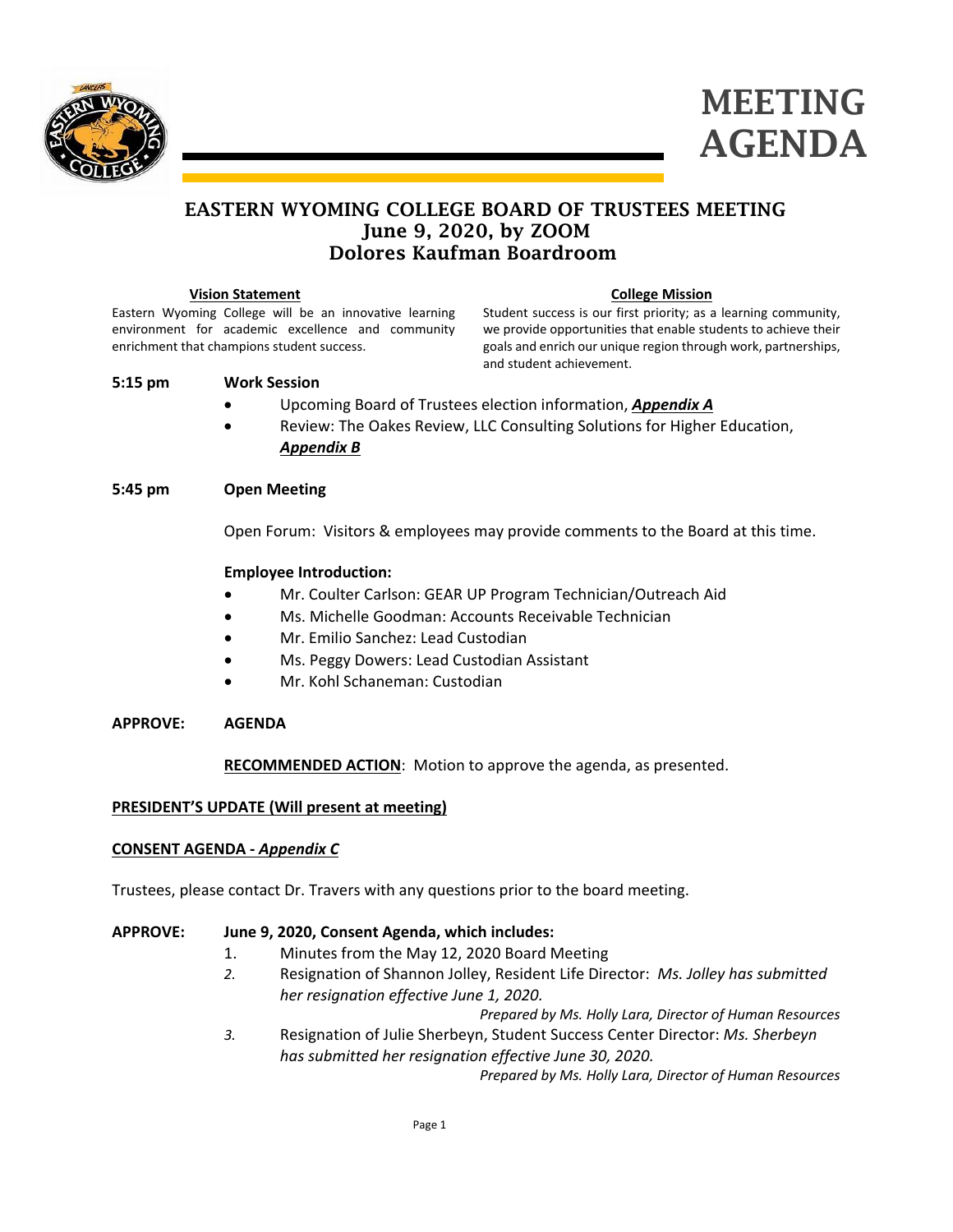



### EASTERN WYOMING COLLEGE BOARD OF TRUSTEES MEETING June 9, 2020, by ZOOM Dolores Kaufman Boardroom

#### **Vision Statement**

Eastern Wyoming College will be an innovative learning environment for academic excellence and community enrichment that champions student success.

#### **College Mission**

Student success is our first priority; as a learning community, we provide opportunities that enable students to achieve their goals and enrich our unique region through work, partnerships, and student achievement.

#### **5:15 pm Work Session**

- Upcoming Board of Trustees election information, *Appendix A*
- Review: The Oakes Review, LLC Consulting Solutions for Higher Education, *Appendix B*

#### **5:45 pm Open Meeting**

Open Forum: Visitors & employees may provide comments to the Board at this time.

#### **Employee Introduction:**

- Mr. Coulter Carlson: GEAR UP Program Technician/Outreach Aid
- Ms. Michelle Goodman: Accounts Receivable Technician
- Mr. Emilio Sanchez: Lead Custodian
- Ms. Peggy Dowers: Lead Custodian Assistant
- Mr. Kohl Schaneman: Custodian

#### **APPROVE: AGENDA**

**RECOMMENDED ACTION**: Motion to approve the agenda, as presented.

#### **PRESIDENT'S UPDATE (Will present at meeting)**

#### **CONSENT AGENDA -** *Appendix C*

Trustees, please contact Dr. Travers with any questions prior to the board meeting.

### **APPROVE: June 9, 2020, Consent Agenda, which includes:**

- 1. Minutes from the May 12, 2020 Board Meeting
- *2.* Resignation of Shannon Jolley, Resident Life Director: *Ms. Jolley has submitted her resignation effective June 1, 2020.*

*Prepared by Ms. Holly Lara, Director of Human Resources*

*3.* Resignation of Julie Sherbeyn, Student Success Center Director: *Ms. Sherbeyn has submitted her resignation effective June 30, 2020.*

*Prepared by Ms. Holly Lara, Director of Human Resources*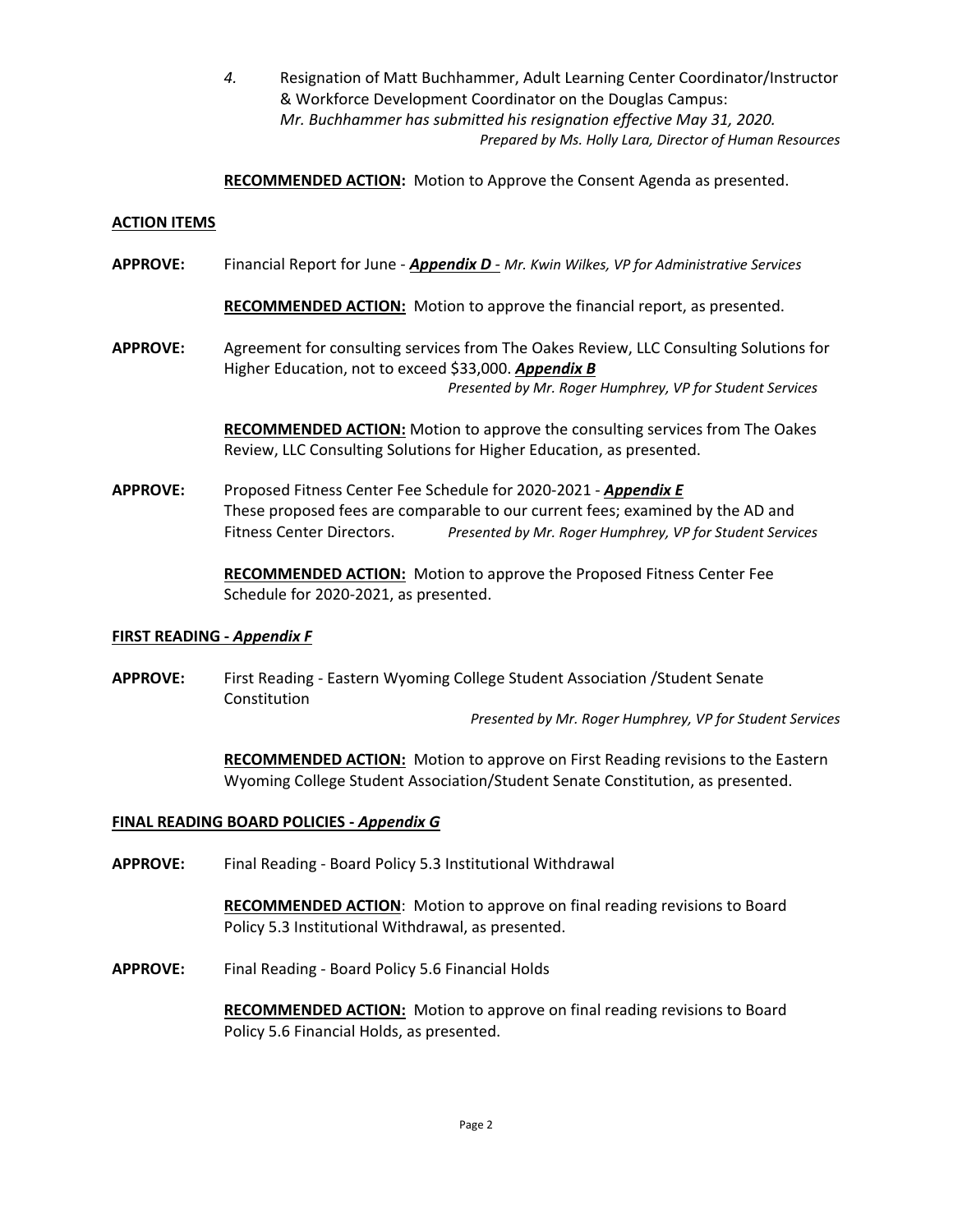*4.* Resignation of Matt Buchhammer, Adult Learning Center Coordinator/Instructor & Workforce Development Coordinator on the Douglas Campus: *Mr. Buchhammer has submitted his resignation effective May 31, 2020. Prepared by Ms. Holly Lara, Director of Human Resources*

**RECOMMENDED ACTION:** Motion to Approve the Consent Agenda as presented.

#### **ACTION ITEMS**

**APPROVE:** Financial Report for June - *Appendix D - Mr. Kwin Wilkes, VP for Administrative Services*

**RECOMMENDED ACTION:** Motion to approve the financial report, as presented.

**APPROVE:** Agreement for consulting services from The Oakes Review, LLC Consulting Solutions for Higher Education, not to exceed \$33,000. *Appendix B Presented by Mr. Roger Humphrey, VP for Student Services*

> **RECOMMENDED ACTION:** Motion to approve the consulting services from The Oakes Review, LLC Consulting Solutions for Higher Education, as presented.

**APPROVE:** Proposed Fitness Center Fee Schedule for 2020-2021 - *Appendix E* These proposed fees are comparable to our current fees; examined by the AD and Fitness Center Directors. *Presented by Mr. Roger Humphrey, VP for Student Services*

> **RECOMMENDED ACTION:** Motion to approve the Proposed Fitness Center Fee Schedule for 2020-2021, as presented.

#### **FIRST READING -** *Appendix F*

**APPROVE:** First Reading - Eastern Wyoming College Student Association /Student Senate Constitution

*Presented by Mr. Roger Humphrey, VP for Student Services*

**RECOMMENDED ACTION:** Motion to approve on First Reading revisions to the Eastern Wyoming College Student Association/Student Senate Constitution, as presented.

#### **FINAL READING BOARD POLICIES -** *Appendix G*

**APPROVE:** Final Reading - Board Policy 5.3 Institutional Withdrawal

**RECOMMENDED ACTION**: Motion to approve on final reading revisions to Board Policy 5.3 Institutional Withdrawal, as presented.

**APPROVE:** Final Reading - Board Policy 5.6 Financial Holds

**RECOMMENDED ACTION:** Motion to approve on final reading revisions to Board Policy 5.6 Financial Holds, as presented.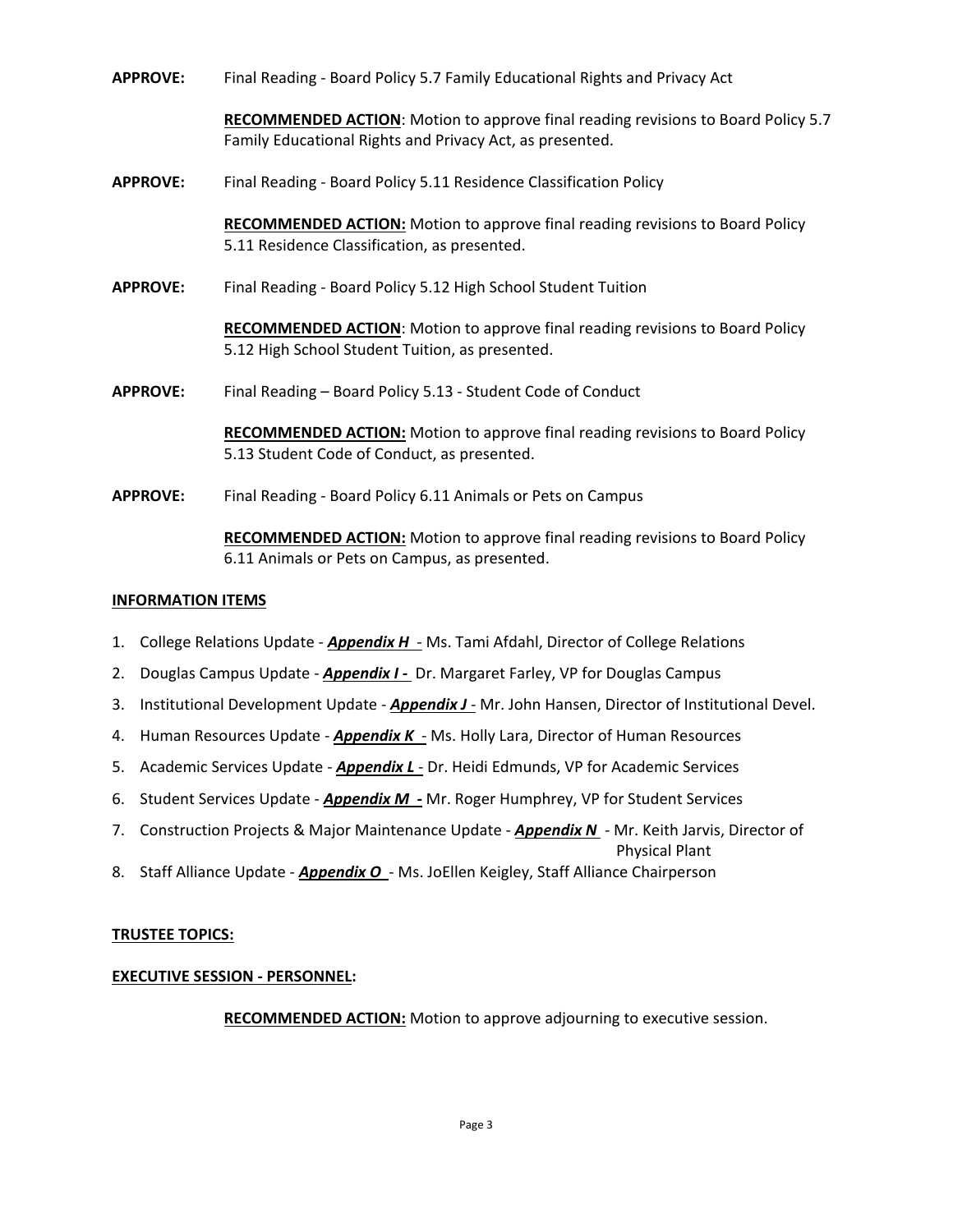**APPROVE:** Final Reading - Board Policy 5.7 Family Educational Rights and Privacy Act

**RECOMMENDED ACTION**: Motion to approve final reading revisions to Board Policy 5.7 Family Educational Rights and Privacy Act, as presented.

**APPROVE:** Final Reading - Board Policy 5.11 Residence Classification Policy

**RECOMMENDED ACTION:** Motion to approve final reading revisions to Board Policy 5.11 Residence Classification, as presented.

**APPROVE:** Final Reading - Board Policy 5.12 High School Student Tuition

**RECOMMENDED ACTION**: Motion to approve final reading revisions to Board Policy 5.12 High School Student Tuition, as presented.

**APPROVE:** Final Reading – Board Policy 5.13 - Student Code of Conduct

**RECOMMENDED ACTION:** Motion to approve final reading revisions to Board Policy 5.13 Student Code of Conduct, as presented.

**APPROVE:** Final Reading - Board Policy 6.11 Animals or Pets on Campus

**RECOMMENDED ACTION:** Motion to approve final reading revisions to Board Policy 6.11 Animals or Pets on Campus, as presented.

### **INFORMATION ITEMS**

- 1. College Relations Update *Appendix H -* Ms. Tami Afdahl, Director of College Relations
- 2. Douglas Campus Update *Appendix I -* Dr. Margaret Farley, VP for Douglas Campus
- 3. Institutional Development Update *Appendix J -* Mr. John Hansen, Director of Institutional Devel.
- 4. Human Resources Update *Appendix K -* Ms. Holly Lara, Director of Human Resources
- 5. Academic Services Update *Appendix L -* Dr. Heidi Edmunds, VP for Academic Services
- 6. Student Services Update *Appendix M -* Mr. Roger Humphrey, VP for Student Services
- 7. Construction Projects & Major Maintenance Update *Appendix N -* Mr. Keith Jarvis, Director of

Physical Plant

8. Staff Alliance Update - *Appendix O* - Ms. JoEllen Keigley, Staff Alliance Chairperson

#### **TRUSTEE TOPICS:**

### **EXECUTIVE SESSION - PERSONNEL:**

**RECOMMENDED ACTION:** Motion to approve adjourning to executive session.